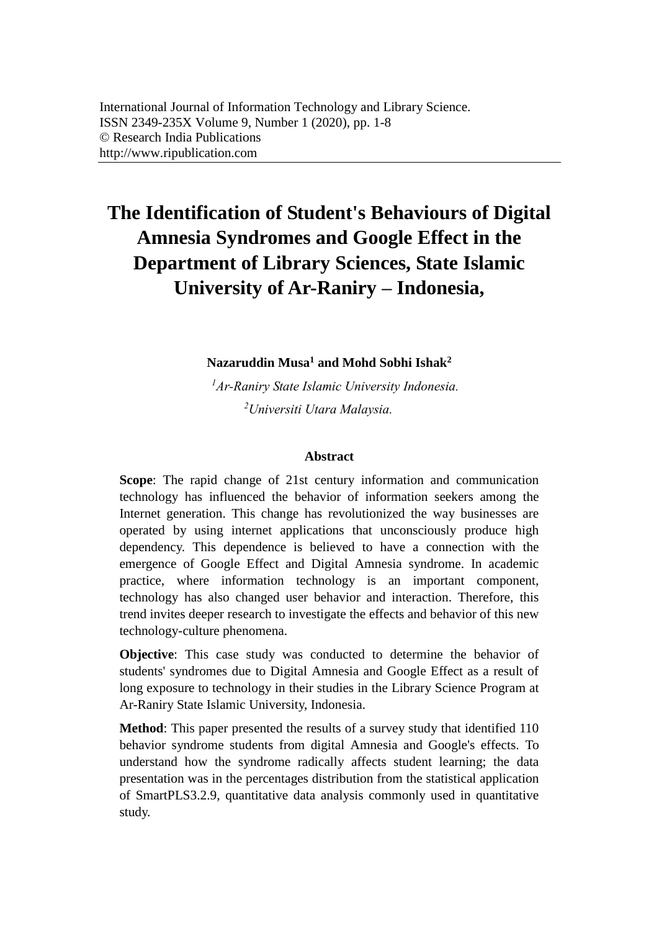# **The Identification of Student's Behaviours of Digital Amnesia Syndromes and Google Effect in the Department of Library Sciences, State Islamic University of Ar-Raniry – Indonesia,**

## **Nazaruddin Musa<sup>1</sup> and Mohd Sobhi Ishak<sup>2</sup>**

*<sup>1</sup>Ar-Raniry State Islamic University Indonesia. <sup>2</sup>Universiti Utara Malaysia.* 

#### **Abstract**

**Scope**: The rapid change of 21st century information and communication technology has influenced the behavior of information seekers among the Internet generation. This change has revolutionized the way businesses are operated by using internet applications that unconsciously produce high dependency. This dependence is believed to have a connection with the emergence of Google Effect and Digital Amnesia syndrome. In academic practice, where information technology is an important component, technology has also changed user behavior and interaction. Therefore, this trend invites deeper research to investigate the effects and behavior of this new technology-culture phenomena.

**Objective**: This case study was conducted to determine the behavior of students' syndromes due to Digital Amnesia and Google Effect as a result of long exposure to technology in their studies in the Library Science Program at Ar-Raniry State Islamic University, Indonesia.

**Method**: This paper presented the results of a survey study that identified 110 behavior syndrome students from digital Amnesia and Google's effects. To understand how the syndrome radically affects student learning; the data presentation was in the percentages distribution from the statistical application of SmartPLS3.2.9, quantitative data analysis commonly used in quantitative study.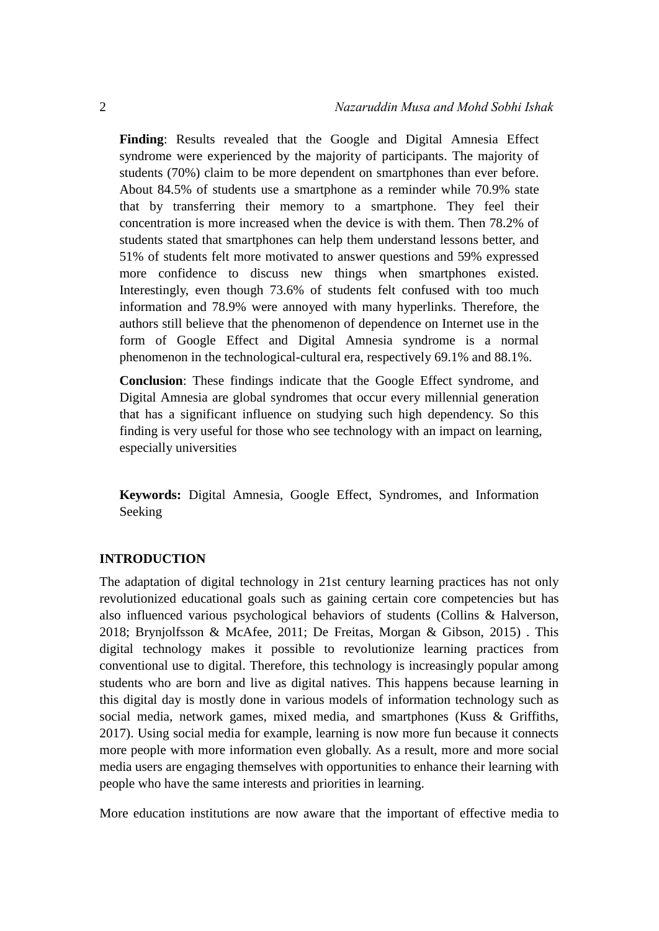**Finding**: Results revealed that the Google and Digital Amnesia Effect syndrome were experienced by the majority of participants. The majority of students (70%) claim to be more dependent on smartphones than ever before. About 84.5% of students use a smartphone as a reminder while 70.9% state that by transferring their memory to a smartphone. They feel their concentration is more increased when the device is with them. Then 78.2% of students stated that smartphones can help them understand lessons better, and 51% of students felt more motivated to answer questions and 59% expressed more confidence to discuss new things when smartphones existed. Interestingly, even though 73.6% of students felt confused with too much information and 78.9% were annoyed with many hyperlinks. Therefore, the authors still believe that the phenomenon of dependence on Internet use in the form of Google Effect and Digital Amnesia syndrome is a normal phenomenon in the technological-cultural era, respectively 69.1% and 88.1%.

**Conclusion**: These findings indicate that the Google Effect syndrome, and Digital Amnesia are global syndromes that occur every millennial generation that has a significant influence on studying such high dependency. So this finding is very useful for those who see technology with an impact on learning, especially universities

**Keywords:** Digital Amnesia, Google Effect, Syndromes, and Information Seeking

#### **INTRODUCTION**

The adaptation of digital technology in 21st century learning practices has not only revolutionized educational goals such as gaining certain core competencies but has also influenced various psychological behaviors of students (Collins & Halverson, 2018; Brynjolfsson & McAfee, 2011; De Freitas, Morgan & Gibson, 2015) . This digital technology makes it possible to revolutionize learning practices from conventional use to digital. Therefore, this technology is increasingly popular among students who are born and live as digital natives. This happens because learning in this digital day is mostly done in various models of information technology such as social media, network games, mixed media, and smartphones (Kuss & Griffiths, 2017). Using social media for example, learning is now more fun because it connects more people with more information even globally. As a result, more and more social media users are engaging themselves with opportunities to enhance their learning with people who have the same interests and priorities in learning.

More education institutions are now aware that the important of effective media to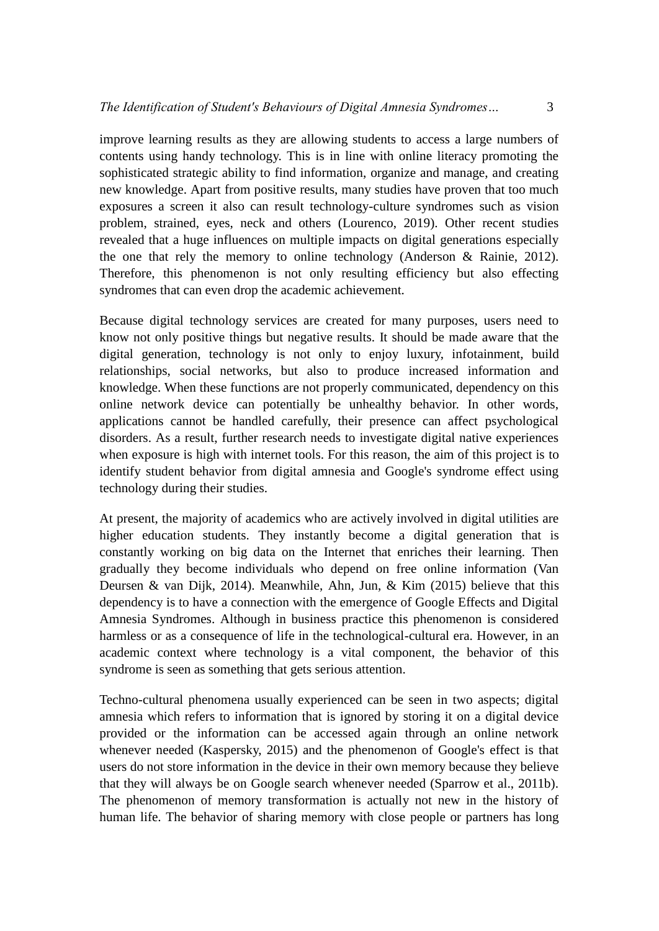improve learning results as they are allowing students to access a large numbers of contents using handy technology. This is in line with online literacy promoting the sophisticated strategic ability to find information, organize and manage, and creating new knowledge. Apart from positive results, many studies have proven that too much exposures a screen it also can result technology-culture syndromes such as vision problem, strained, eyes, neck and others (Lourenco, 2019). Other recent studies revealed that a huge influences on multiple impacts on digital generations especially the one that rely the memory to online technology (Anderson & Rainie, 2012). Therefore, this phenomenon is not only resulting efficiency but also effecting syndromes that can even drop the academic achievement.

Because digital technology services are created for many purposes, users need to know not only positive things but negative results. It should be made aware that the digital generation, technology is not only to enjoy luxury, infotainment, build relationships, social networks, but also to produce increased information and knowledge. When these functions are not properly communicated, dependency on this online network device can potentially be unhealthy behavior. In other words, applications cannot be handled carefully, their presence can affect psychological disorders. As a result, further research needs to investigate digital native experiences when exposure is high with internet tools. For this reason, the aim of this project is to identify student behavior from digital amnesia and Google's syndrome effect using technology during their studies.

At present, the majority of academics who are actively involved in digital utilities are higher education students. They instantly become a digital generation that is constantly working on big data on the Internet that enriches their learning. Then gradually they become individuals who depend on free online information (Van Deursen & van Dijk, 2014). Meanwhile, Ahn, Jun, & Kim (2015) believe that this dependency is to have a connection with the emergence of Google Effects and Digital Amnesia Syndromes. Although in business practice this phenomenon is considered harmless or as a consequence of life in the technological-cultural era. However, in an academic context where technology is a vital component, the behavior of this syndrome is seen as something that gets serious attention.

Techno-cultural phenomena usually experienced can be seen in two aspects; digital amnesia which refers to information that is ignored by storing it on a digital device provided or the information can be accessed again through an online network whenever needed (Kaspersky, 2015) and the phenomenon of Google's effect is that users do not store information in the device in their own memory because they believe that they will always be on Google search whenever needed (Sparrow et al., 2011b). The phenomenon of memory transformation is actually not new in the history of human life. The behavior of sharing memory with close people or partners has long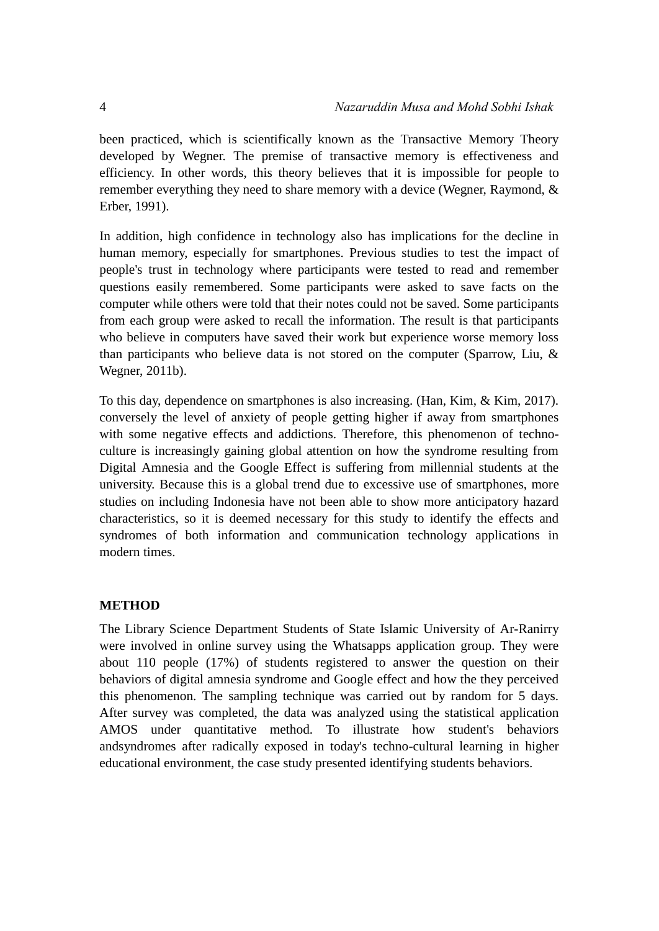been practiced, which is scientifically known as the Transactive Memory Theory developed by Wegner. The premise of transactive memory is effectiveness and efficiency. In other words, this theory believes that it is impossible for people to remember everything they need to share memory with a device (Wegner, Raymond, & Erber, 1991).

In addition, high confidence in technology also has implications for the decline in human memory, especially for smartphones. Previous studies to test the impact of people's trust in technology where participants were tested to read and remember questions easily remembered. Some participants were asked to save facts on the computer while others were told that their notes could not be saved. Some participants from each group were asked to recall the information. The result is that participants who believe in computers have saved their work but experience worse memory loss than participants who believe data is not stored on the computer (Sparrow, Liu, & Wegner, 2011b).

To this day, dependence on smartphones is also increasing. (Han, Kim, & Kim, 2017). conversely the level of anxiety of people getting higher if away from smartphones with some negative effects and addictions. Therefore, this phenomenon of technoculture is increasingly gaining global attention on how the syndrome resulting from Digital Amnesia and the Google Effect is suffering from millennial students at the university. Because this is a global trend due to excessive use of smartphones, more studies on including Indonesia have not been able to show more anticipatory hazard characteristics, so it is deemed necessary for this study to identify the effects and syndromes of both information and communication technology applications in modern times.

## **METHOD**

The Library Science Department Students of State Islamic University of Ar-Ranirry were involved in online survey using the Whatsapps application group. They were about 110 people (17%) of students registered to answer the question on their behaviors of digital amnesia syndrome and Google effect and how the they perceived this phenomenon. The sampling technique was carried out by random for 5 days. After survey was completed, the data was analyzed using the statistical application AMOS under quantitative method. To illustrate how student's behaviors andsyndromes after radically exposed in today's techno-cultural learning in higher educational environment, the case study presented identifying students behaviors.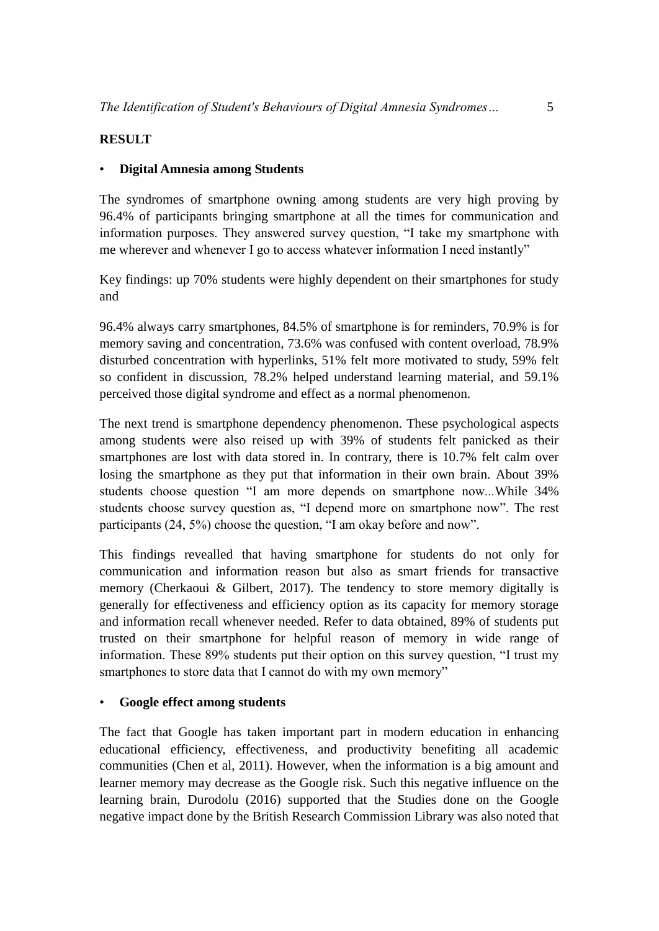## **RESULT**

## • **Digital Amnesia among Students**

The syndromes of smartphone owning among students are very high proving by 96.4% of participants bringing smartphone at all the times for communication and information purposes. They answered survey question, "I take my smartphone with me wherever and whenever I go to access whatever information I need instantly"

Key findings: up 70% students were highly dependent on their smartphones for study and

96.4% always carry smartphones, 84.5% of smartphone is for reminders, 70.9% is for memory saving and concentration, 73.6% was confused with content overload, 78.9% disturbed concentration with hyperlinks, 51% felt more motivated to study, 59% felt so confident in discussion, 78.2% helped understand learning material, and 59.1% perceived those digital syndrome and effect as a normal phenomenon.

The next trend is smartphone dependency phenomenon. These psychological aspects among students were also reised up with 39% of students felt panicked as their smartphones are lost with data stored in. In contrary, there is 10.7% felt calm over losing the smartphone as they put that information in their own brain. About 39% students choose question "I am more depends on smartphone now*...*While 34% students choose survey question as, "I depend more on smartphone now". The rest participants (24, 5%) choose the question, "I am okay before and now".

This findings revealled that having smartphone for students do not only for communication and information reason but also as smart friends for transactive memory (Cherkaoui & Gilbert, 2017). The tendency to store memory digitally is generally for effectiveness and efficiency option as its capacity for memory storage and information recall whenever needed. Refer to data obtained, 89% of students put trusted on their smartphone for helpful reason of memory in wide range of information. These 89% students put their option on this survey question, "I trust my smartphones to store data that I cannot do with my own memory"

## • **Google effect among students**

The fact that Google has taken important part in modern education in enhancing educational efficiency, effectiveness, and productivity benefiting all academic communities (Chen et al, 2011). However, when the information is a big amount and learner memory may decrease as the Google risk. Such this negative influence on the learning brain, Durodolu (2016) supported that the Studies done on the Google negative impact done by the British Research Commission Library was also noted that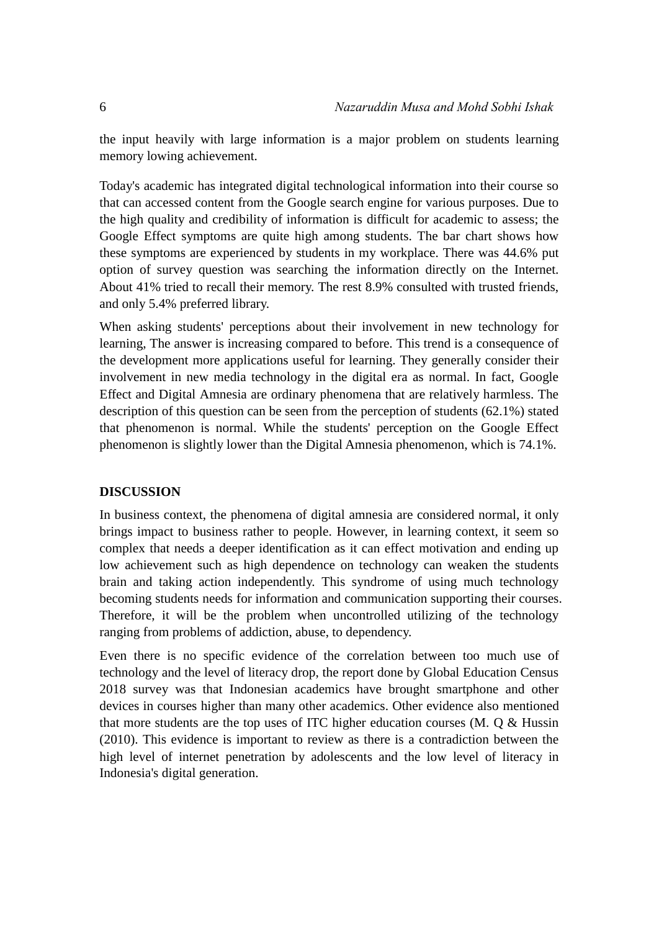the input heavily with large information is a major problem on students learning memory lowing achievement.

Today's academic has integrated digital technological information into their course so that can accessed content from the Google search engine for various purposes. Due to the high quality and credibility of information is difficult for academic to assess; the Google Effect symptoms are quite high among students. The bar chart shows how these symptoms are experienced by students in my workplace. There was 44.6% put option of survey question was searching the information directly on the Internet. About 41% tried to recall their memory. The rest 8.9% consulted with trusted friends, and only 5.4% preferred library.

When asking students' perceptions about their involvement in new technology for learning, The answer is increasing compared to before. This trend is a consequence of the development more applications useful for learning. They generally consider their involvement in new media technology in the digital era as normal. In fact, Google Effect and Digital Amnesia are ordinary phenomena that are relatively harmless. The description of this question can be seen from the perception of students (62.1%) stated that phenomenon is normal. While the students' perception on the Google Effect phenomenon is slightly lower than the Digital Amnesia phenomenon, which is 74.1%.

## **DISCUSSION**

In business context, the phenomena of digital amnesia are considered normal, it only brings impact to business rather to people. However, in learning context, it seem so complex that needs a deeper identification as it can effect motivation and ending up low achievement such as high dependence on technology can weaken the students brain and taking action independently. This syndrome of using much technology becoming students needs for information and communication supporting their courses. Therefore, it will be the problem when uncontrolled utilizing of the technology ranging from problems of addiction, abuse, to dependency.

Even there is no specific evidence of the correlation between too much use of technology and the level of literacy drop, the report done by Global Education Census 2018 survey was that Indonesian academics have brought smartphone and other devices in courses higher than many other academics. Other evidence also mentioned that more students are the top uses of ITC higher education courses (M. Q & Hussin (2010). This evidence is important to review as there is a contradiction between the high level of internet penetration by adolescents and the low level of literacy in Indonesia's digital generation.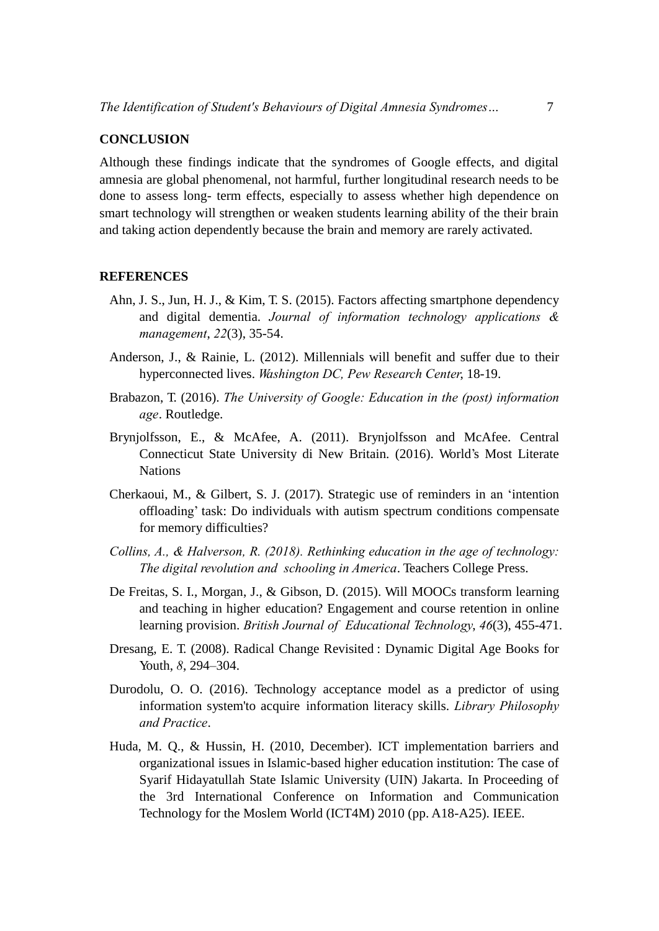### **CONCLUSION**

Although these findings indicate that the syndromes of Google effects, and digital amnesia are global phenomenal, not harmful, further longitudinal research needs to be done to assess long- term effects, especially to assess whether high dependence on smart technology will strengthen or weaken students learning ability of the their brain and taking action dependently because the brain and memory are rarely activated.

#### **REFERENCES**

- Ahn, J. S., Jun, H. J., & Kim, T. S. (2015). Factors affecting smartphone dependency and digital dementia. *Journal of information technology applications & management*, *22*(3), 35-54.
- Anderson, J., & Rainie, L. (2012). Millennials will benefit and suffer due to their hyperconnected lives. *Washington DC, Pew Research Center*, 18-19.
- Brabazon, T. (2016). *The University of Google: Education in the (post) information age*. Routledge.
- Brynjolfsson, E., & McAfee, A. (2011). Brynjolfsson and McAfee. Central Connecticut State University di New Britain. (2016). World's Most Literate Nations
- Cherkaoui, M., & Gilbert, S. J. (2017). Strategic use of reminders in an 'intention offloading' task: Do individuals with autism spectrum conditions compensate for memory difficulties?
- *Collins, A., & Halverson, R. (2018). Rethinking education in the age of technology: The digital revolution and schooling in America*. Teachers College Press.
- De Freitas, S. I., Morgan, J., & Gibson, D. (2015). Will MOOCs transform learning and teaching in higher education? Engagement and course retention in online learning provision. *British Journal of Educational Technology*, *46*(3), 455-471.
- Dresang, E. T. (2008). Radical Change Revisited : Dynamic Digital Age Books for Youth, *8*, 294–304.
- Durodolu, O. O. (2016). Technology acceptance model as a predictor of using information system'to acquire information literacy skills. *Library Philosophy and Practice*.
- Huda, M. Q., & Hussin, H. (2010, December). ICT implementation barriers and organizational issues in Islamic-based higher education institution: The case of Syarif Hidayatullah State Islamic University (UIN) Jakarta. In Proceeding of the 3rd International Conference on Information and Communication Technology for the Moslem World (ICT4M) 2010 (pp. A18-A25). IEEE.